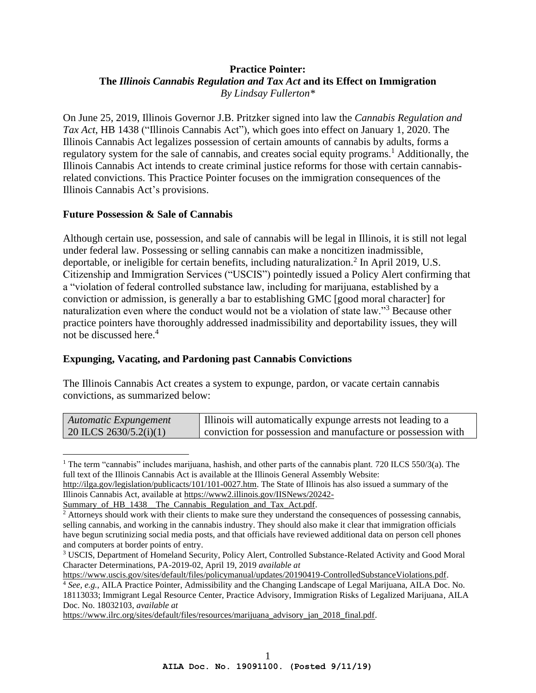## **Practice Pointer: The** *Illinois Cannabis Regulation and Tax Act* **and its Effect on Immigration** *By Lindsay Fullerton\**

On June 25, 2019, Illinois Governor J.B. Pritzker signed into law the *Cannabis Regulation and Tax Act*, HB 1438 ("Illinois Cannabis Act"), which goes into effect on January 1, 2020. The Illinois Cannabis Act legalizes possession of certain amounts of cannabis by adults, forms a regulatory system for the sale of cannabis, and creates social equity programs.<sup>1</sup> Additionally, the Illinois Cannabis Act intends to create criminal justice reforms for those with certain cannabisrelated convictions. This Practice Pointer focuses on the immigration consequences of the Illinois Cannabis Act's provisions.

## **Future Possession & Sale of Cannabis**

Although certain use, possession, and sale of cannabis will be legal in Illinois, it is still not legal under federal law. Possessing or selling cannabis can make a noncitizen inadmissible, deportable, or ineligible for certain benefits, including naturalization.<sup>2</sup> In April 2019, U.S. Citizenship and Immigration Services ("USCIS") pointedly issued a Policy Alert confirming that a "violation of federal controlled substance law, including for marijuana, established by a conviction or admission, is generally a bar to establishing GMC [good moral character] for naturalization even where the conduct would not be a violation of state law."<sup>3</sup> Because other practice pointers have thoroughly addressed inadmissibility and deportability issues, they will not be discussed here.<sup>4</sup>

## **Expunging, Vacating, and Pardoning past Cannabis Convictions**

The Illinois Cannabis Act creates a system to expunge, pardon, or vacate certain cannabis convictions, as summarized below:

| Automatic Expungement          | Illinois will automatically expunge arrests not leading to a |
|--------------------------------|--------------------------------------------------------------|
| $\vert$ 20 ILCS 2630/5.2(i)(1) | Conviction for possession and manufacture or possession with |

<sup>&</sup>lt;sup>1</sup> The term "cannabis" includes marijuana, hashish, and other parts of the cannabis plant. 720 ILCS 550/3(a). The full text of the Illinois Cannabis Act is available at the Illinois General Assembly Website:

[https://www.uscis.gov/sites/default/files/policymanual/updates/20190419-ControlledSubstanceViolations.pdf.](https://www.uscis.gov/sites/default/files/policymanual/updates/20190419-ControlledSubstanceViolations.pdf)

[https://www.ilrc.org/sites/default/files/resources/marijuana\\_advisory\\_jan\\_2018\\_final.pdf.](https://www.ilrc.org/sites/default/files/resources/marijuana_advisory_jan_2018_final.pdf)

[http://ilga.gov/legislation/publicacts/101/101-0027.htm.](http://ilga.gov/legislation/publicacts/101/101-0027.htm) The State of Illinois has also issued a summary of the Illinois Cannabis Act, available at [https://www2.illinois.gov/IISNews/20242-](https://www2.illinois.gov/IISNews/20242-Summary_of_HB_1438__The_Cannabis_Regulation_and_Tax_Act.pdf)

Summary\_of\_HB\_1438\_The\_Cannabis\_Regulation\_and\_Tax\_Act.pdf.

<sup>&</sup>lt;sup>2</sup> Attorneys should work with their clients to make sure they understand the consequences of possessing cannabis, selling cannabis, and working in the cannabis industry. They should also make it clear that immigration officials have begun scrutinizing social media posts, and that officials have reviewed additional data on person cell phones and computers at border points of entry.

<sup>3</sup> USCIS, Department of Homeland Security, Policy Alert, Controlled Substance-Related Activity and Good Moral Character Determinations, PA-2019-02, April 19, 2019 *available at*

<sup>4</sup> *See, e.g.*, AILA Practice Pointer, Admissibility and the Changing Landscape of Legal Marijuana, AILA Doc. No. 18113033; Immigrant Legal Resource Center, Practice Advisory, Immigration Risks of Legalized Marijuana, AILA Doc. No. 18032103, *available at*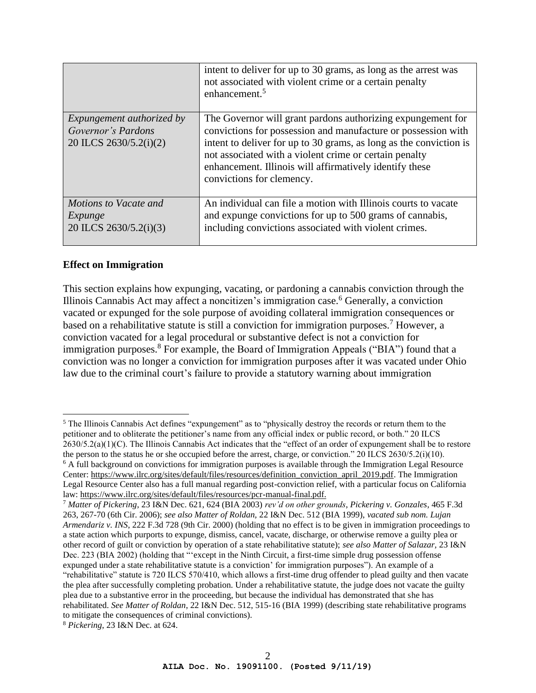|                                                                                  | intent to deliver for up to 30 grams, as long as the arrest was<br>not associated with violent crime or a certain penalty<br>enhancement. <sup>5</sup>                                                                                                                                                                                               |
|----------------------------------------------------------------------------------|------------------------------------------------------------------------------------------------------------------------------------------------------------------------------------------------------------------------------------------------------------------------------------------------------------------------------------------------------|
| <i>Expungement authorized by</i><br>Governor's Pardons<br>20 ILCS 2630/5.2(i)(2) | The Governor will grant pardons authorizing expungement for<br>convictions for possession and manufacture or possession with<br>intent to deliver for up to 30 grams, as long as the conviction is<br>not associated with a violent crime or certain penalty<br>enhancement. Illinois will affirmatively identify these<br>convictions for clemency. |
| Motions to Vacate and<br>Expunge<br>20 ILCS 2630/5.2(i)(3)                       | An individual can file a motion with Illinois courts to vacate<br>and expunge convictions for up to 500 grams of cannabis,<br>including convictions associated with violent crimes.                                                                                                                                                                  |

## **Effect on Immigration**

This section explains how expunging, vacating, or pardoning a cannabis conviction through the Illinois Cannabis Act may affect a noncitizen's immigration case.<sup>6</sup> Generally, a conviction vacated or expunged for the sole purpose of avoiding collateral immigration consequences or based on a rehabilitative statute is still a conviction for immigration purposes.<sup>7</sup> However, a conviction vacated for a legal procedural or substantive defect is not a conviction for immigration purposes.<sup>8</sup> For example, the Board of Immigration Appeals ("BIA") found that a conviction was no longer a conviction for immigration purposes after it was vacated under Ohio law due to the criminal court's failure to provide a statutory warning about immigration

<sup>&</sup>lt;sup>5</sup> The Illinois Cannabis Act defines "expungement" as to "physically destroy the records or return them to the petitioner and to obliterate the petitioner's name from any official index or public record, or both." 20 ILCS  $2630/5.2(a)(1)(C)$ . The Illinois Cannabis Act indicates that the "effect of an order of expungement shall be to restore the person to the status he or she occupied before the arrest, charge, or conviction." 20 ILCS 2630/5.2(i)(10).  $6$  A full background on convictions for immigration purposes is available through the Immigration Legal Resource Center: [https://www.ilrc.org/sites/default/files/resources/definition\\_conviction\\_april\\_2019.pdf.](https://www.ilrc.org/sites/default/files/resources/definition_conviction_april_2019.pdf) The Immigration Legal Resource Center also has a full manual regarding post-conviction relief, with a particular focus on California law[: https://www.ilrc.org/sites/default/files/resources/pcr-manual-final.pdf.](https://www.ilrc.org/sites/default/files/resources/pcr-manual-final.pdf)

<sup>7</sup> *Matter of Pickering*, 23 I&N Dec. 621, 624 (BIA 2003) *rev'd on other grounds*, *Pickering v. Gonzales*, 465 F.3d 263, 267-70 (6th Cir. 2006); *see also Matter of Roldan,* 22 I&N Dec. 512 (BIA 1999), *vacated sub nom. Lujan Armendariz v. INS*, 222 F.3d 728 (9th Cir. 2000) (holding that no effect is to be given in immigration proceedings to a state action which purports to expunge, dismiss, cancel, vacate, discharge, or otherwise remove a guilty plea or other record of guilt or conviction by operation of a state rehabilitative statute); *see also Matter of Salazar,* 23 I&N Dec. 223 (BIA 2002) (holding that "'except in the Ninth Circuit, a first-time simple drug possession offense expunged under a state rehabilitative statute is a conviction' for immigration purposes"). An example of a "rehabilitative" statute is 720 ILCS 570/410, which allows a first-time drug offender to plead guilty and then vacate the plea after successfully completing probation. Under a rehabilitative statute, the judge does not vacate the guilty plea due to a substantive error in the proceeding, but because the individual has demonstrated that she has rehabilitated. *See Matter of Roldan*, 22 I&N Dec. 512, 515-16 (BIA 1999) (describing state rehabilitative programs to mitigate the consequences of criminal convictions).

<sup>8</sup> *Pickering*, 23 I&N Dec. at 624.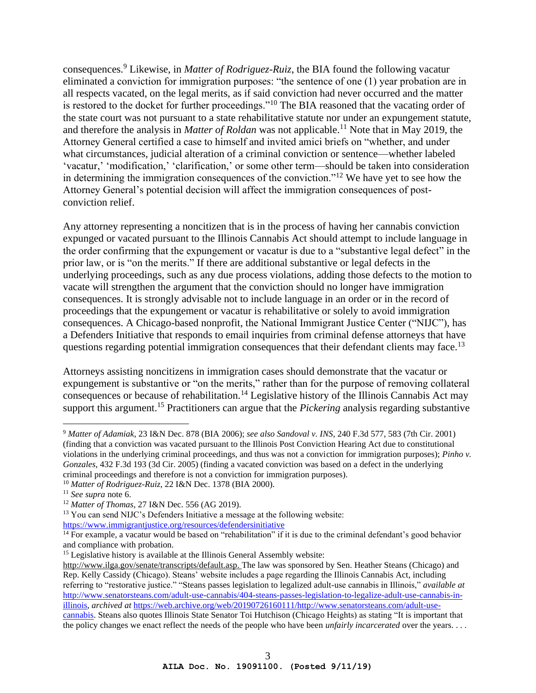consequences.<sup>9</sup> Likewise, in *Matter of Rodriguez-Ruiz*, the BIA found the following vacatur eliminated a conviction for immigration purposes: "the sentence of one (1) year probation are in all respects vacated, on the legal merits, as if said conviction had never occurred and the matter is restored to the docket for further proceedings."<sup>10</sup> The BIA reasoned that the vacating order of the state court was not pursuant to a state rehabilitative statute nor under an expungement statute, and therefore the analysis in *Matter of Roldan* was not applicable. <sup>11</sup> Note that in May 2019, the Attorney General certified a case to himself and invited amici briefs on "whether, and under what circumstances, judicial alteration of a criminal conviction or sentence—whether labeled 'vacatur,' 'modification,' 'clarification,' or some other term—should be taken into consideration in determining the immigration consequences of the conviction."<sup>12</sup> We have yet to see how the Attorney General's potential decision will affect the immigration consequences of postconviction relief.

Any attorney representing a noncitizen that is in the process of having her cannabis conviction expunged or vacated pursuant to the Illinois Cannabis Act should attempt to include language in the order confirming that the expungement or vacatur is due to a "substantive legal defect" in the prior law, or is "on the merits." If there are additional substantive or legal defects in the underlying proceedings, such as any due process violations, adding those defects to the motion to vacate will strengthen the argument that the conviction should no longer have immigration consequences. It is strongly advisable not to include language in an order or in the record of proceedings that the expungement or vacatur is rehabilitative or solely to avoid immigration consequences. A Chicago-based nonprofit, the National Immigrant Justice Center ("NIJC"), has a Defenders Initiative that responds to email inquiries from criminal defense attorneys that have questions regarding potential immigration consequences that their defendant clients may face.<sup>13</sup>

Attorneys assisting noncitizens in immigration cases should demonstrate that the vacatur or expungement is substantive or "on the merits," rather than for the purpose of removing collateral consequences or because of rehabilitation.<sup>14</sup> Legislative history of the Illinois Cannabis Act may support this argument.<sup>15</sup> Practitioners can argue that the *Pickering* analysis regarding substantive

<sup>9</sup> *Matter of Adamiak*, 23 I&N Dec. 878 (BIA 2006); *see also Sandoval v. INS*, 240 F.3d 577, 583 (7th Cir. 2001) (finding that a conviction was vacated pursuant to the Illinois Post Conviction Hearing Act due to constitutional violations in the underlying criminal proceedings, and thus was not a conviction for immigration purposes); *Pinho v. Gonzales,* 432 F.3d 193 (3d Cir. 2005) (finding a vacated conviction was based on a defect in the underlying criminal proceedings and therefore is not a conviction for immigration purposes).

<sup>10</sup> *Matter of Rodriguez-Ruiz*, 22 I&N Dec. 1378 (BIA 2000).

<sup>11</sup> *See supra* note 6.

<sup>12</sup> *Matter of Thomas*, 27 I&N Dec. 556 (AG 2019).

<sup>&</sup>lt;sup>13</sup> You can send NIJC's Defenders Initiative a message at the following website:

<https://www.immigrantjustice.org/resources/defendersinitiative>

 $14$  For example, a vacatur would be based on "rehabilitation" if it is due to the criminal defendant's good behavior and compliance with probation.

<sup>&</sup>lt;sup>15</sup> Legislative history is available at the Illinois General Assembly website:

[http://www.ilga.gov/senate/transcripts/default.asp.](http://www.ilga.gov/senate/transcripts/default.asp) The law was sponsored by Sen. Heather Steans (Chicago) and Rep. Kelly Cassidy (Chicago). Steans' website includes a page regarding the Illinois Cannabis Act, including referring to "restorative justice." "Steans passes legislation to legalized adult-use cannabis in Illinois," *available at*  [http://www.senatorsteans.com/adult-use-cannabis/404-steans-passes-legislation-to-legalize-adult-use-cannabis-in](http://www.senatorsteans.com/adult-use-cannabis/404-steans-passes-legislation-to-legalize-adult-use-cannabis-in-illinois)[illinois,](http://www.senatorsteans.com/adult-use-cannabis/404-steans-passes-legislation-to-legalize-adult-use-cannabis-in-illinois) *archived at* [https://web.archive.org/web/20190726160111/http://www.senatorsteans.com/adult-use](https://web.archive.org/web/20190726160111/http:/www.senatorsteans.com/adult-use-cannabis)[cannabis.](https://web.archive.org/web/20190726160111/http:/www.senatorsteans.com/adult-use-cannabis) Steans also quotes Illinois State Senator Toi Hutchison (Chicago Heights) as stating "It is important that the policy changes we enact reflect the needs of the people who have been *unfairly incarcerated* over the years. . . .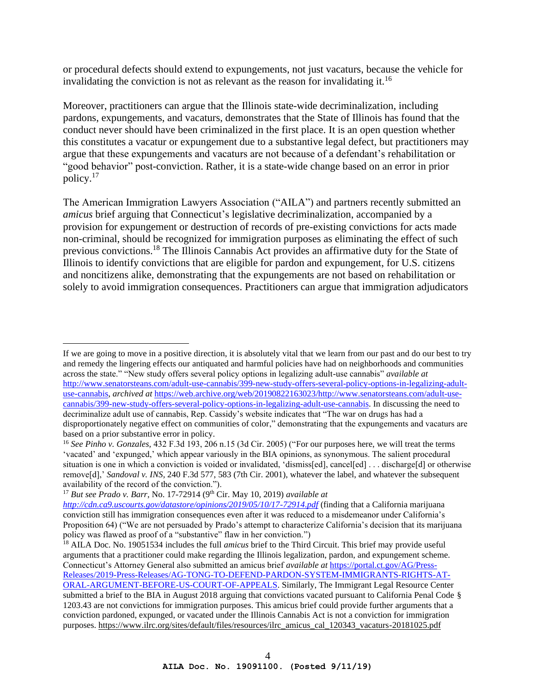or procedural defects should extend to expungements, not just vacaturs, because the vehicle for invalidating the conviction is not as relevant as the reason for invalidating it.<sup>16</sup>

Moreover, practitioners can argue that the Illinois state-wide decriminalization, including pardons, expungements, and vacaturs, demonstrates that the State of Illinois has found that the conduct never should have been criminalized in the first place. It is an open question whether this constitutes a vacatur or expungement due to a substantive legal defect, but practitioners may argue that these expungements and vacaturs are not because of a defendant's rehabilitation or "good behavior" post-conviction. Rather, it is a state-wide change based on an error in prior policy.<sup>17</sup>

The American Immigration Lawyers Association ("AILA") and partners recently submitted an *amicus* brief arguing that Connecticut's legislative decriminalization, accompanied by a provision for expungement or destruction of records of pre-existing convictions for acts made non-criminal, should be recognized for immigration purposes as eliminating the effect of such previous convictions.<sup>18</sup> The Illinois Cannabis Act provides an affirmative duty for the State of Illinois to identify convictions that are eligible for pardon and expungement, for U.S. citizens and noncitizens alike, demonstrating that the expungements are not based on rehabilitation or solely to avoid immigration consequences. Practitioners can argue that immigration adjudicators

If we are going to move in a positive direction, it is absolutely vital that we learn from our past and do our best to try and remedy the lingering effects our antiquated and harmful policies have had on neighborhoods and communities across the state." "New study offers several policy options in legalizing adult-use cannabis" *available at*  [http://www.senatorsteans.com/adult-use-cannabis/399-new-study-offers-several-policy-options-in-legalizing-adult](http://www.senatorsteans.com/adult-use-cannabis/399-new-study-offers-several-policy-options-in-legalizing-adult-use-cannabis)[use-cannabis,](http://www.senatorsteans.com/adult-use-cannabis/399-new-study-offers-several-policy-options-in-legalizing-adult-use-cannabis) *archived at* [https://web.archive.org/web/20190822163023/http://www.senatorsteans.com/adult-use](https://web.archive.org/web/20190822163023/http:/www.senatorsteans.com/adult-use-cannabis/399-new-study-offers-several-policy-options-in-legalizing-adult-use-cannabis)[cannabis/399-new-study-offers-several-policy-options-in-legalizing-adult-use-cannabis.](https://web.archive.org/web/20190822163023/http:/www.senatorsteans.com/adult-use-cannabis/399-new-study-offers-several-policy-options-in-legalizing-adult-use-cannabis) In discussing the need to decriminalize adult use of cannabis, Rep. Cassidy's website indicates that "The war on drugs has had a disproportionately negative effect on communities of color," demonstrating that the expungements and vacaturs are based on a prior substantive error in policy.

<sup>16</sup> *See Pinho v. Gonzales,* 432 F.3d 193, 206 n.15 (3d Cir. 2005) ("For our purposes here, we will treat the terms 'vacated' and 'expunged,' which appear variously in the BIA opinions, as synonymous. The salient procedural situation is one in which a conviction is voided or invalidated, 'dismiss[ed], cancel[ed] ... discharge[d] or otherwise remove[d],' *Sandoval v. INS,* 240 F.3d 577, 583 (7th Cir. 2001), whatever the label, and whatever the subsequent availability of the record of the conviction.").

<sup>&</sup>lt;sup>17</sup> *But see Prado v. Barr*, No. 17-72914 (9<sup>th</sup> Cir. May 10, 2019) *available at* 

*<http://cdn.ca9.uscourts.gov/datastore/opinions/2019/05/10/17-72914.pdf>* (finding that a California marijuana conviction still has immigration consequences even after it was reduced to a misdemeanor under California's Proposition 64) ("We are not persuaded by Prado's attempt to characterize California's decision that its marijuana policy was flawed as proof of a "substantive" flaw in her conviction.")

<sup>18</sup> AILA Doc. No. 19051534 includes the full *amicus* brief to the Third Circuit. This brief may provide useful arguments that a practitioner could make regarding the Illinois legalization, pardon, and expungement scheme. Connecticut's Attorney General also submitted an amicus brief *available at* [https://portal.ct.gov/AG/Press-](https://portal.ct.gov/AG/Press-Releases/2019-Press-Releases/AG-TONG-TO-DEFEND-PARDON-SYSTEM-IMMIGRANTS-RIGHTS-AT-ORAL-ARGUMENT-BEFORE-US-COURT-OF-APPEALS)[Releases/2019-Press-Releases/AG-TONG-TO-DEFEND-PARDON-SYSTEM-IMMIGRANTS-RIGHTS-AT-](https://portal.ct.gov/AG/Press-Releases/2019-Press-Releases/AG-TONG-TO-DEFEND-PARDON-SYSTEM-IMMIGRANTS-RIGHTS-AT-ORAL-ARGUMENT-BEFORE-US-COURT-OF-APPEALS)[ORAL-ARGUMENT-BEFORE-US-COURT-OF-APPEALS.](https://portal.ct.gov/AG/Press-Releases/2019-Press-Releases/AG-TONG-TO-DEFEND-PARDON-SYSTEM-IMMIGRANTS-RIGHTS-AT-ORAL-ARGUMENT-BEFORE-US-COURT-OF-APPEALS) Similarly, The Immigrant Legal Resource Center submitted a brief to the BIA in August 2018 arguing that convictions vacated pursuant to California Penal Code § 1203.43 are not convictions for immigration purposes. This amicus brief could provide further arguments that a conviction pardoned, expunged, or vacated under the Illinois Cannabis Act is not a conviction for immigration purposes[. https://www.ilrc.org/sites/default/files/resources/ilrc\\_amicus\\_cal\\_120343\\_vacaturs-20181025.pdf](https://www.ilrc.org/sites/default/files/resources/ilrc_amicus_cal_120343_vacaturs-20181025.pdf)